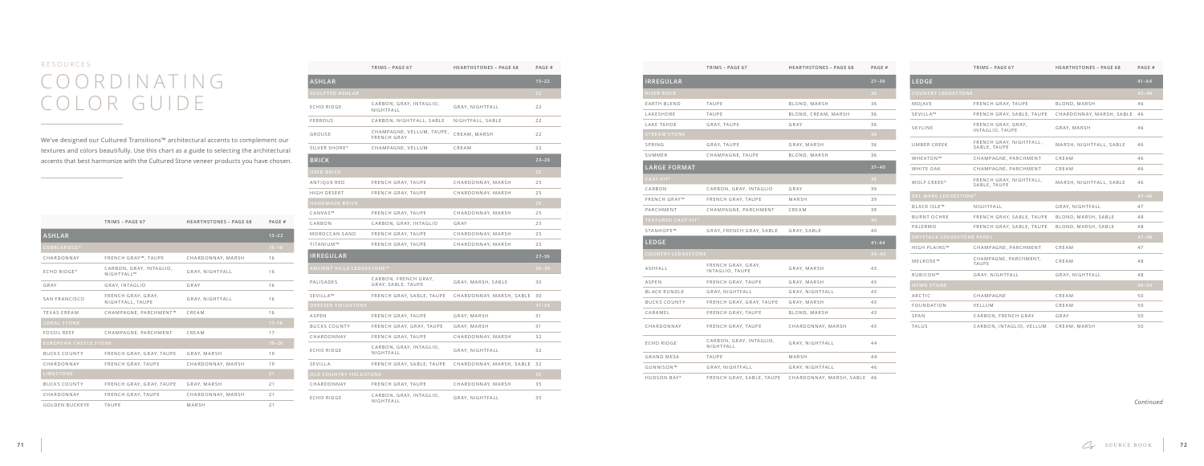# C O O R D I N A T I N G COLOR GUIDE RESOURCES **TRIMS – PAGE 67 HEARTHSTONES – PAGE 68 PAGE #**

|                                  | TRIMS - PAGE 67                                         | <b>HEARTHSTONES - PAGE 68</b> | PAGE #    |
|----------------------------------|---------------------------------------------------------|-------------------------------|-----------|
| <b>ASHLAR</b>                    |                                                         |                               | $13 - 22$ |
| <b>SCULPTED ASHLAR</b>           |                                                         |                               | 22        |
| ECHO RIDGE                       | CARBON, GRAY, INTAGLIO,<br>NIGHTFALL                    | GRAY, NIGHTFALL               | 22        |
| <b>FERROUS</b>                   | CARBON, NIGHTFALL, SABLE                                | NIGHTFALL, SABLE              | 22        |
| GROUSE                           | CHAMPAGNE, VELLUM, TAUPE,<br>FRENCH GRAY                | CREAM, MARSH                  | 22        |
| SILVER SHORE®                    | CHAMPAGNE, VELLUM                                       | CREAM                         | 22        |
| <b>BRICK</b>                     |                                                         |                               | $23 - 26$ |
| USED BRICK                       |                                                         |                               | 25        |
| ANTIQUE RED                      | FRENCH GRAY, TAUPE                                      | CHARDONNAY, MARSH             | 25        |
| HIGH DESERT                      | FRENCH GRAY, TAUPE                                      | CHARDONNAY, MARSH             | 25        |
| <b>HANDMADE BRICK</b>            |                                                         |                               | 25        |
| CANVAS™                          | FRENCH GRAY, TAUPE                                      | CHARDONNAY, MARSH             | 25        |
| CARBON                           | CARBON, GRAY, INTAGLIO                                  | GRAY                          | 25        |
| MOROCCAN SAND                    | FRENCH GRAY, TAUPE                                      | CHARDONNAY, MARSH             | 25        |
| TITANIUM™                        | FRENCH GRAY, TAUPE                                      | CHARDONNAY, MARSH             | 25        |
| <b>IRREGULAR</b>                 |                                                         |                               | $27 - 36$ |
| <b>ANCIENT VILLA LEDGESTONE™</b> |                                                         |                               | $29 - 30$ |
| PALISADES                        | CARBON, FRENCH GRAY,<br>GRAY, SABLE, TAUPE              | GRAY, MARSH, SABLE            | 30        |
| SEVILLA™                         | FRENCH GRAY, SABLE, TAUPE                               | CHARDONNAY, MARSH, SABLE      | 30        |
| <b>DRESSED FIELDSTONE</b>        |                                                         |                               | $31 - 34$ |
| <b>ASPEN</b>                     | FRENCH GRAY, TAUPE                                      | GRAY, MARSH                   | 31        |
| <b>BUCKS COUNTY</b>              | FRENCH GRAY, GRAY, TAUPE                                | GRAY, MARSH                   | 31        |
| CHARDONNAY                       | FRENCH GRAY, TAUPE                                      | CHARDONNAY, MARSH             | 32        |
| ECHO RIDGE                       | CARBON, GRAY, INTAGLIO,<br>GRAY, NIGHTFALL<br>NIGHTFALL |                               | 32        |
| SEVILLA                          | FRENCH GRAY, SABLE, TAUPE                               | CHARDONNAY, MARSH, SABLE      | 32        |
| <b>OLD COUNTRY FIELDSTONE</b>    |                                                         |                               | 35        |
| CHARDONNAY                       | FRENCH GRAY, TAUPE                                      | CHARDONNAY, MARSH             | 35        |
| <b>ECHO RIDGE</b>                | CARBON, GRAY, INTAGLIO,<br>NIGHTFALL                    | GRAY, NIGHTFALL               | 35        |

## **IRREGULAR 27–36** EARTH BLEND LAKESHORE LAKE TAHOE SUMMER

**LARGE FORM** 

FRENCH GRAY™ PARCHMENT

|                              | TRIMS - PAGE 67                        | <b>HEARTHSTONES - PAGE 68</b> | PAGE #    |
|------------------------------|----------------------------------------|-------------------------------|-----------|
| <b>ASHLAR</b>                |                                        |                               | $13 - 22$ |
| <b>COBBLEFIELD®</b>          |                                        |                               | $15 - 16$ |
| CHARDONNAY                   | FRENCH GRAY™, TAUPE                    | CHARDONNAY, MARSH             | 16        |
| <b>ECHO RIDGE®</b>           | CARBON, GRAY, INTAGLIO,<br>NIGHTFALL™  | GRAY, NIGHTFALL               | 16        |
| GRAY                         | GRAY, INTAGLIO                         | GRAY                          | 16        |
| SAN FRANCISCO                | FRENCH GRAY, GRAY,<br>NIGHTFALL, TAUPE | GRAY, NIGHTFALL               | 16        |
| <b>TEXAS CREAM</b>           | CHAMPAGNE, PARCHMENT™                  | CREAM                         | 16        |
| <b>CORAL STONE</b>           |                                        |                               | $17 - 18$ |
| <b>FOSSIL REEF</b>           | CHAMPAGNE, PARCHMENT                   | CREAM                         | 17        |
| <b>EUROPEAN CASTLE STONE</b> |                                        |                               | $19 - 20$ |
| <b>BUCKS COUNTY</b>          | FRENCH GRAY, GRAY, TAUPE               | GRAY, MARSH                   | 19        |
| CHARDONNAY                   | FRENCH GRAY, TAUPE                     | CHARDONNAY, MARSH             | 19        |
| <b>LIMESTONE</b>             |                                        |                               | 21        |
| <b>BUCKS COUNTY</b>          | FRENCH GRAY, GRAY, TAUPE               | GRAY, MARSH                   | 21        |
| CHARDONNAY                   | FRENCH GRAY, TAUPE                     | CHARDONNAY, MARSH             | 21        |
| <b>GOLDEN BUCKEYE</b>        | <b>TAUPE</b>                           | MARSH                         | 21        |

**TEXTURED CAST-FIT ® 40**

STANHOPE™

|                           | TRIMS - PAGE 67                       | <b>HEARTHSTONES - PAGE 68</b> | PAGE #    |
|---------------------------|---------------------------------------|-------------------------------|-----------|
| IRREGULAR                 |                                       |                               | $27 - 36$ |
| RIVER ROCK                |                                       |                               | 36        |
| EARTH BLEND               | <b>TAUPE</b>                          | BLOND, MARSH                  | 36        |
| LAKESHORE                 | <b>TAUPE</b>                          | BLOND, CREAM, MARSH           | 36        |
| LAKE TAHOE                | GRAY, TAUPE                           | GRAY                          | 36        |
| <b>STREAM STONE</b>       |                                       |                               | 36        |
| SPRING                    | GRAY, TAUPE                           | GRAY, MARSH                   | 36        |
| SUMMER                    | CHAMPAGNE, TAUPE                      | BLOND, MARSH                  | 36        |
| LARGE FORMAT              |                                       |                               | $37 - 40$ |
| $CAST-FIT®$               |                                       |                               | 39        |
| CARBON                    | CARBON, GRAY, INTAGLIO                | GRAY                          | 39        |
| FRENCH GRAY™              | FRENCH GRAY, TAUPE                    | MARSH                         | 39        |
| PARCHMENT                 | CHAMPAGNE, PARCHMENT                  | CREAM                         | 39        |
|                           |                                       |                               |           |
| <b>TEXTURED CAST-FIT®</b> |                                       |                               | 40        |
| STANHOPE™                 | GRAY, FRENCH GRAY, SABLE              | GRAY, SABLE                   | 40        |
| LEDGE                     |                                       |                               | $41 - 64$ |
| <b>COUNTRY LEDGESTONE</b> |                                       |                               | $43 - 46$ |
| ASHFALL                   | FRENCH GRAY, GRAY,<br>INTAGLIO, TAUPE | GRAY, MARSH                   | 43        |
| ASPEN                     | FRENCH GRAY, TAUPE                    | GRAY, MARSH                   | 43        |
| <b>BLACK RUNDLE</b>       | GRAY, NIGHTFALL                       | GRAY, NIGHTFALL               | 43        |
| <b>BUCKS COUNTY</b>       | FRENCH GRAY, GRAY, TAUPE              | GRAY, MARSH                   | 43        |
| CARAMEL                   | FRENCH GRAY, TAUPE                    | BLOND, MARSH                  | 43        |
| CHARDONNAY                | FRENCH GRAY, TAUPE                    | CHARDONNAY, MARSH             | 43        |
| ECHO RIDGE                | CARBON, GRAY, INTAGLIO,<br>NIGHTFALL  | GRAY, NIGHTFALL               | 44        |
| GRAND MESA                | <b>TAUPE</b>                          | MARSH                         | 44        |
| GUNNISON™                 | GRAY, NIGHTFALL                       | GRAY, NIGHTFALL               | 46        |

## **LEDGE 41–64**

ASHFALL

BLACK RUNDLE

BUCKS COUNTY

CARAMEL

CHARDONNAY

**Contract Contract** 

ECHO RIDGE

GRAND MESA

GUNNISON™

HUDSON BAY®

We've designed our Cultured Transitions™ architectural accents to complement our textures and colors beautifully. Use this chart as a guide to selecting the architectural accents that best harmonize with the Cultured Stone veneer products you have chosen.

|                                  | TRIMS - PAGE 67<br><b>HEARTHSTONES - PAGE 68</b> |                          | PAGE #    |  |
|----------------------------------|--------------------------------------------------|--------------------------|-----------|--|
| <b>LEDGE</b>                     |                                                  |                          | $41 - 64$ |  |
| <b>COUNTRY LEDGESTONE</b>        |                                                  |                          | $43 - 46$ |  |
| MOJAVE                           | FRENCH GRAY, TAUPE                               | BLOND, MARSH             | 46        |  |
| SEVILLA™                         | FRENCH GRAY, SABLE, TAUPE                        | CHARDONNAY, MARSH, SABLE | 46        |  |
| SKYLINE                          | FRENCH GRAY, GRAY,<br>INTAGLIO, TAUPE            | GRAY, MARSH              | 46        |  |
| UMBER CREEK                      | FRENCH GRAY, NIGHTFALL,<br>SABLE, TAUPE          | MARSH, NIGHTFALL, SABLE  | 46        |  |
| WHEATON™                         | CHAMPAGNE, PARCHMENT                             | CREAM                    | 46        |  |
| WHITE OAK                        | CHAMPAGNE, PARCHMENT                             | CREAM                    | 46        |  |
| WOLF CREEK®                      | FRENCH GRAY, NIGHTFALL,<br>SABLE, TAUPE          | MARSH, NIGHTFALL, SABLE  | 46        |  |
| <b>DEL MARE LEDGESTONE®</b>      |                                                  |                          | $47 - 48$ |  |
| <b>BLACK ISLE™</b>               | NIGHTFALL                                        | GRAY, NIGHTFALL          | 47        |  |
| <b>BURNT OCHRE</b>               | FRENCH GRAY, SABLE, TAUPE                        | BLOND, MARSH, SABLE      | 48        |  |
| PALERMO                          | FRENCH GRAY, SABLE, TAUPE                        | BLOND, MARSH, SABLE      | 48        |  |
| <b>DRYSTACK LEDGESTONE PANEL</b> |                                                  |                          | $47 - 48$ |  |
| <b>HIGH PLAINS™</b>              | CHAMPAGNE, PARCHMENT                             | CREAM                    | 47        |  |
| MELROSE™                         | CHAMPAGNE, PARCHMENT,<br><b>TAUPE</b>            | CREAM                    | 48        |  |
| RUBICON™                         | GRAY, NIGHTFALL                                  | GRAY, NIGHTFALL          | 48        |  |
| <b>HEWN STONE</b>                |                                                  |                          | $49 - 50$ |  |
| ARCTIC                           | CHAMPAGNE                                        | CREAM                    | 50        |  |
| FOUNDATION                       | VELLUM                                           | CREAM                    | 50        |  |
| SPAN                             | CARBON, FRENCH GRAY                              | GRAY                     | 50        |  |
| <b>TALUS</b>                     | CARBON, INTAGLIO, VELLUM                         | CREAM, MARSH             | 50        |  |

*Continued*